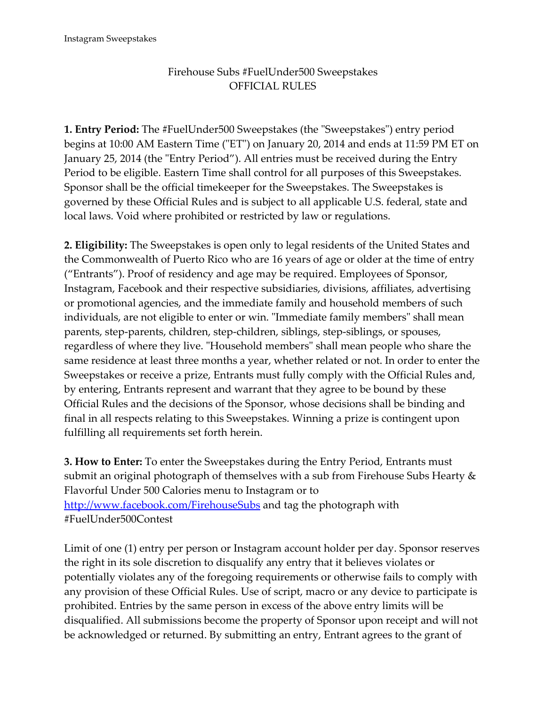## Firehouse Subs #FuelUnder500 Sweepstakes OFFICIAL RULES

**1. Entry Period:** The #FuelUnder500 Sweepstakes (the "Sweepstakes") entry period begins at 10:00 AM Eastern Time ("ET") on January 20, 2014 and ends at 11:59 PM ET on January 25, 2014 (the "Entry Period"). All entries must be received during the Entry Period to be eligible. Eastern Time shall control for all purposes of this Sweepstakes. Sponsor shall be the official timekeeper for the Sweepstakes. The Sweepstakes is governed by these Official Rules and is subject to all applicable U.S. federal, state and local laws. Void where prohibited or restricted by law or regulations.

**2. Eligibility:** The Sweepstakes is open only to legal residents of the United States and the Commonwealth of Puerto Rico who are 16 years of age or older at the time of entry ("Entrants"). Proof of residency and age may be required. Employees of Sponsor, Instagram, Facebook and their respective subsidiaries, divisions, affiliates, advertising or promotional agencies, and the immediate family and household members of such individuals, are not eligible to enter or win. "Immediate family members" shall mean parents, step-parents, children, step-children, siblings, step-siblings, or spouses, regardless of where they live. "Household members" shall mean people who share the same residence at least three months a year, whether related or not. In order to enter the Sweepstakes or receive a prize, Entrants must fully comply with the Official Rules and, by entering, Entrants represent and warrant that they agree to be bound by these Official Rules and the decisions of the Sponsor, whose decisions shall be binding and final in all respects relating to this Sweepstakes. Winning a prize is contingent upon fulfilling all requirements set forth herein.

**3. How to Enter:** To enter the Sweepstakes during the Entry Period, Entrants must submit an original photograph of themselves with a sub from Firehouse Subs Hearty & Flavorful Under 500 Calories menu to Instagram or to <http://www.facebook.com/FirehouseSubs> and tag the photograph with #FuelUnder500Contest

Limit of one (1) entry per person or Instagram account holder per day. Sponsor reserves the right in its sole discretion to disqualify any entry that it believes violates or potentially violates any of the foregoing requirements or otherwise fails to comply with any provision of these Official Rules. Use of script, macro or any device to participate is prohibited. Entries by the same person in excess of the above entry limits will be disqualified. All submissions become the property of Sponsor upon receipt and will not be acknowledged or returned. By submitting an entry, Entrant agrees to the grant of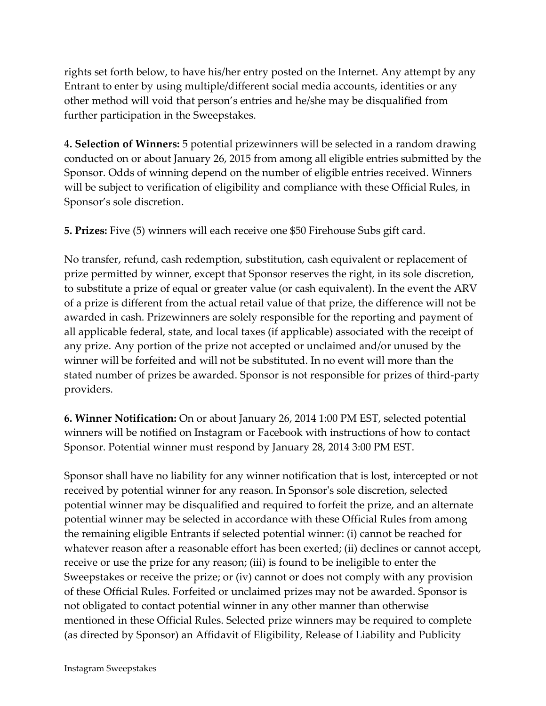rights set forth below, to have his/her entry posted on the Internet. Any attempt by any Entrant to enter by using multiple/different social media accounts, identities or any other method will void that person's entries and he/she may be disqualified from further participation in the Sweepstakes.

**4. Selection of Winners:** 5 potential prizewinners will be selected in a random drawing conducted on or about January 26, 2015 from among all eligible entries submitted by the Sponsor. Odds of winning depend on the number of eligible entries received. Winners will be subject to verification of eligibility and compliance with these Official Rules, in Sponsor's sole discretion.

**5. Prizes:** Five (5) winners will each receive one \$50 Firehouse Subs gift card.

No transfer, refund, cash redemption, substitution, cash equivalent or replacement of prize permitted by winner, except that Sponsor reserves the right, in its sole discretion, to substitute a prize of equal or greater value (or cash equivalent). In the event the ARV of a prize is different from the actual retail value of that prize, the difference will not be awarded in cash. Prizewinners are solely responsible for the reporting and payment of all applicable federal, state, and local taxes (if applicable) associated with the receipt of any prize. Any portion of the prize not accepted or unclaimed and/or unused by the winner will be forfeited and will not be substituted. In no event will more than the stated number of prizes be awarded. Sponsor is not responsible for prizes of third-party providers.

**6. Winner Notification:** On or about January 26, 2014 1:00 PM EST, selected potential winners will be notified on Instagram or Facebook with instructions of how to contact Sponsor. Potential winner must respond by January 28, 2014 3:00 PM EST.

Sponsor shall have no liability for any winner notification that is lost, intercepted or not received by potential winner for any reason. In Sponsor's sole discretion, selected potential winner may be disqualified and required to forfeit the prize, and an alternate potential winner may be selected in accordance with these Official Rules from among the remaining eligible Entrants if selected potential winner: (i) cannot be reached for whatever reason after a reasonable effort has been exerted; (ii) declines or cannot accept, receive or use the prize for any reason; (iii) is found to be ineligible to enter the Sweepstakes or receive the prize; or (iv) cannot or does not comply with any provision of these Official Rules. Forfeited or unclaimed prizes may not be awarded. Sponsor is not obligated to contact potential winner in any other manner than otherwise mentioned in these Official Rules. Selected prize winners may be required to complete (as directed by Sponsor) an Affidavit of Eligibility, Release of Liability and Publicity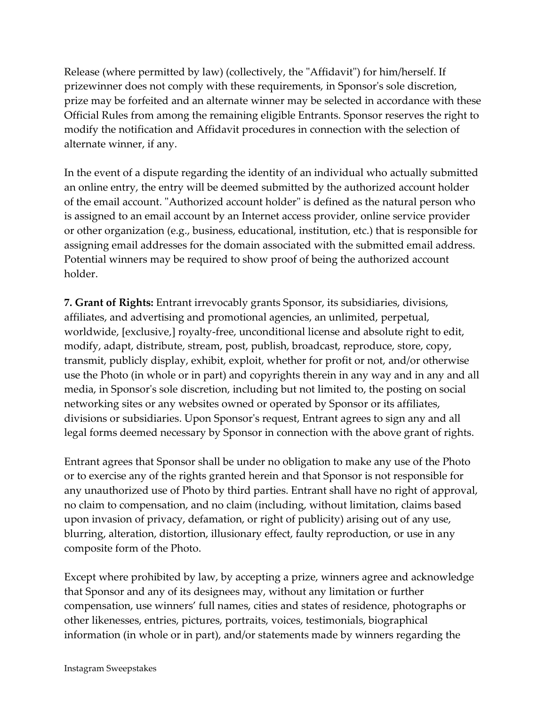Release (where permitted by law) (collectively, the "Affidavit") for him/herself. If prizewinner does not comply with these requirements, in Sponsor's sole discretion, prize may be forfeited and an alternate winner may be selected in accordance with these Official Rules from among the remaining eligible Entrants. Sponsor reserves the right to modify the notification and Affidavit procedures in connection with the selection of alternate winner, if any.

In the event of a dispute regarding the identity of an individual who actually submitted an online entry, the entry will be deemed submitted by the authorized account holder of the email account. "Authorized account holder" is defined as the natural person who is assigned to an email account by an Internet access provider, online service provider or other organization (e.g., business, educational, institution, etc.) that is responsible for assigning email addresses for the domain associated with the submitted email address. Potential winners may be required to show proof of being the authorized account holder.

**7. Grant of Rights:** Entrant irrevocably grants Sponsor, its subsidiaries, divisions, affiliates, and advertising and promotional agencies, an unlimited, perpetual, worldwide, [exclusive,] royalty-free, unconditional license and absolute right to edit, modify, adapt, distribute, stream, post, publish, broadcast, reproduce, store, copy, transmit, publicly display, exhibit, exploit, whether for profit or not, and/or otherwise use the Photo (in whole or in part) and copyrights therein in any way and in any and all media, in Sponsor's sole discretion, including but not limited to, the posting on social networking sites or any websites owned or operated by Sponsor or its affiliates, divisions or subsidiaries. Upon Sponsor's request, Entrant agrees to sign any and all legal forms deemed necessary by Sponsor in connection with the above grant of rights.

Entrant agrees that Sponsor shall be under no obligation to make any use of the Photo or to exercise any of the rights granted herein and that Sponsor is not responsible for any unauthorized use of Photo by third parties. Entrant shall have no right of approval, no claim to compensation, and no claim (including, without limitation, claims based upon invasion of privacy, defamation, or right of publicity) arising out of any use, blurring, alteration, distortion, illusionary effect, faulty reproduction, or use in any composite form of the Photo.

Except where prohibited by law, by accepting a prize, winners agree and acknowledge that Sponsor and any of its designees may, without any limitation or further compensation, use winners' full names, cities and states of residence, photographs or other likenesses, entries, pictures, portraits, voices, testimonials, biographical information (in whole or in part), and/or statements made by winners regarding the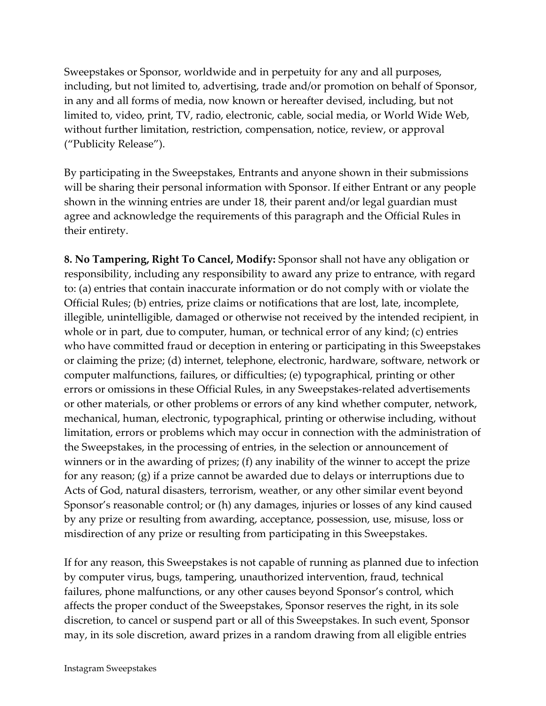Sweepstakes or Sponsor, worldwide and in perpetuity for any and all purposes, including, but not limited to, advertising, trade and/or promotion on behalf of Sponsor, in any and all forms of media, now known or hereafter devised, including, but not limited to, video, print, TV, radio, electronic, cable, social media, or World Wide Web, without further limitation, restriction, compensation, notice, review, or approval ("Publicity Release").

By participating in the Sweepstakes, Entrants and anyone shown in their submissions will be sharing their personal information with Sponsor. If either Entrant or any people shown in the winning entries are under 18, their parent and/or legal guardian must agree and acknowledge the requirements of this paragraph and the Official Rules in their entirety.

**8. No Tampering, Right To Cancel, Modify:** Sponsor shall not have any obligation or responsibility, including any responsibility to award any prize to entrance, with regard to: (a) entries that contain inaccurate information or do not comply with or violate the Official Rules; (b) entries, prize claims or notifications that are lost, late, incomplete, illegible, unintelligible, damaged or otherwise not received by the intended recipient, in whole or in part, due to computer, human, or technical error of any kind; (c) entries who have committed fraud or deception in entering or participating in this Sweepstakes or claiming the prize; (d) internet, telephone, electronic, hardware, software, network or computer malfunctions, failures, or difficulties; (e) typographical, printing or other errors or omissions in these Official Rules, in any Sweepstakes-related advertisements or other materials, or other problems or errors of any kind whether computer, network, mechanical, human, electronic, typographical, printing or otherwise including, without limitation, errors or problems which may occur in connection with the administration of the Sweepstakes, in the processing of entries, in the selection or announcement of winners or in the awarding of prizes; (f) any inability of the winner to accept the prize for any reason; (g) if a prize cannot be awarded due to delays or interruptions due to Acts of God, natural disasters, terrorism, weather, or any other similar event beyond Sponsor's reasonable control; or (h) any damages, injuries or losses of any kind caused by any prize or resulting from awarding, acceptance, possession, use, misuse, loss or misdirection of any prize or resulting from participating in this Sweepstakes.

If for any reason, this Sweepstakes is not capable of running as planned due to infection by computer virus, bugs, tampering, unauthorized intervention, fraud, technical failures, phone malfunctions, or any other causes beyond Sponsor's control, which affects the proper conduct of the Sweepstakes, Sponsor reserves the right, in its sole discretion, to cancel or suspend part or all of this Sweepstakes. In such event, Sponsor may, in its sole discretion, award prizes in a random drawing from all eligible entries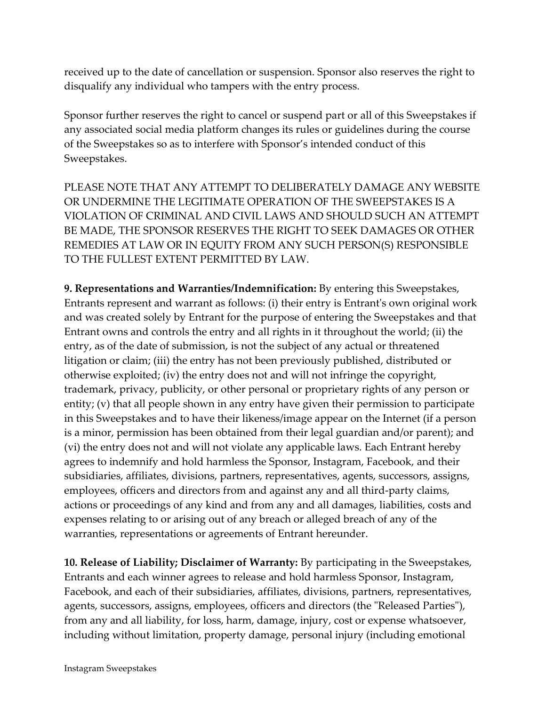received up to the date of cancellation or suspension. Sponsor also reserves the right to disqualify any individual who tampers with the entry process.

Sponsor further reserves the right to cancel or suspend part or all of this Sweepstakes if any associated social media platform changes its rules or guidelines during the course of the Sweepstakes so as to interfere with Sponsor's intended conduct of this Sweepstakes.

PLEASE NOTE THAT ANY ATTEMPT TO DELIBERATELY DAMAGE ANY WEBSITE OR UNDERMINE THE LEGITIMATE OPERATION OF THE SWEEPSTAKES IS A VIOLATION OF CRIMINAL AND CIVIL LAWS AND SHOULD SUCH AN ATTEMPT BE MADE, THE SPONSOR RESERVES THE RIGHT TO SEEK DAMAGES OR OTHER REMEDIES AT LAW OR IN EQUITY FROM ANY SUCH PERSON(S) RESPONSIBLE TO THE FULLEST EXTENT PERMITTED BY LAW.

**9. Representations and Warranties/Indemnification:** By entering this Sweepstakes, Entrants represent and warrant as follows: (i) their entry is Entrant's own original work and was created solely by Entrant for the purpose of entering the Sweepstakes and that Entrant owns and controls the entry and all rights in it throughout the world; (ii) the entry, as of the date of submission, is not the subject of any actual or threatened litigation or claim; (iii) the entry has not been previously published, distributed or otherwise exploited; (iv) the entry does not and will not infringe the copyright, trademark, privacy, publicity, or other personal or proprietary rights of any person or entity; (v) that all people shown in any entry have given their permission to participate in this Sweepstakes and to have their likeness/image appear on the Internet (if a person is a minor, permission has been obtained from their legal guardian and/or parent); and (vi) the entry does not and will not violate any applicable laws. Each Entrant hereby agrees to indemnify and hold harmless the Sponsor, Instagram, Facebook, and their subsidiaries, affiliates, divisions, partners, representatives, agents, successors, assigns, employees, officers and directors from and against any and all third-party claims, actions or proceedings of any kind and from any and all damages, liabilities, costs and expenses relating to or arising out of any breach or alleged breach of any of the warranties, representations or agreements of Entrant hereunder.

**10. Release of Liability; Disclaimer of Warranty:** By participating in the Sweepstakes, Entrants and each winner agrees to release and hold harmless Sponsor, Instagram, Facebook, and each of their subsidiaries, affiliates, divisions, partners, representatives, agents, successors, assigns, employees, officers and directors (the "Released Parties"), from any and all liability, for loss, harm, damage, injury, cost or expense whatsoever, including without limitation, property damage, personal injury (including emotional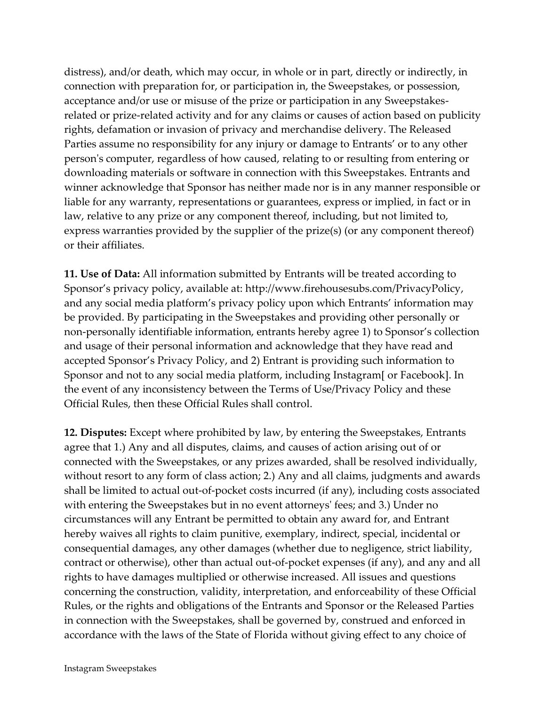distress), and/or death, which may occur, in whole or in part, directly or indirectly, in connection with preparation for, or participation in, the Sweepstakes, or possession, acceptance and/or use or misuse of the prize or participation in any Sweepstakesrelated or prize-related activity and for any claims or causes of action based on publicity rights, defamation or invasion of privacy and merchandise delivery. The Released Parties assume no responsibility for any injury or damage to Entrants' or to any other person's computer, regardless of how caused, relating to or resulting from entering or downloading materials or software in connection with this Sweepstakes. Entrants and winner acknowledge that Sponsor has neither made nor is in any manner responsible or liable for any warranty, representations or guarantees, express or implied, in fact or in law, relative to any prize or any component thereof, including, but not limited to, express warranties provided by the supplier of the prize(s) (or any component thereof) or their affiliates.

**11. Use of Data:** All information submitted by Entrants will be treated according to Sponsor's privacy policy, available at: http://www.firehousesubs.com/PrivacyPolicy, and any social media platform's privacy policy upon which Entrants' information may be provided. By participating in the Sweepstakes and providing other personally or non-personally identifiable information, entrants hereby agree 1) to Sponsor's collection and usage of their personal information and acknowledge that they have read and accepted Sponsor's Privacy Policy, and 2) Entrant is providing such information to Sponsor and not to any social media platform, including Instagram[ or Facebook]. In the event of any inconsistency between the Terms of Use/Privacy Policy and these Official Rules, then these Official Rules shall control.

**12. Disputes:** Except where prohibited by law, by entering the Sweepstakes, Entrants agree that 1.) Any and all disputes, claims, and causes of action arising out of or connected with the Sweepstakes, or any prizes awarded, shall be resolved individually, without resort to any form of class action; 2.) Any and all claims, judgments and awards shall be limited to actual out-of-pocket costs incurred (if any), including costs associated with entering the Sweepstakes but in no event attorneys' fees; and 3.) Under no circumstances will any Entrant be permitted to obtain any award for, and Entrant hereby waives all rights to claim punitive, exemplary, indirect, special, incidental or consequential damages, any other damages (whether due to negligence, strict liability, contract or otherwise), other than actual out-of-pocket expenses (if any), and any and all rights to have damages multiplied or otherwise increased. All issues and questions concerning the construction, validity, interpretation, and enforceability of these Official Rules, or the rights and obligations of the Entrants and Sponsor or the Released Parties in connection with the Sweepstakes, shall be governed by, construed and enforced in accordance with the laws of the State of Florida without giving effect to any choice of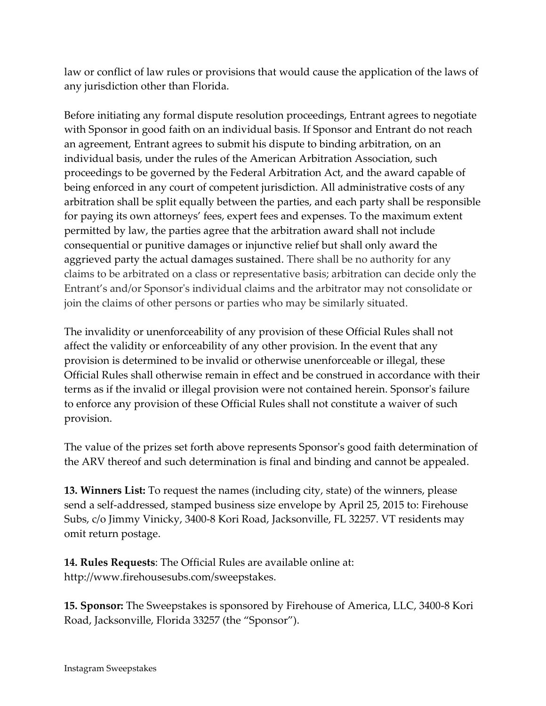law or conflict of law rules or provisions that would cause the application of the laws of any jurisdiction other than Florida.

Before initiating any formal dispute resolution proceedings, Entrant agrees to negotiate with Sponsor in good faith on an individual basis. If Sponsor and Entrant do not reach an agreement, Entrant agrees to submit his dispute to binding arbitration, on an individual basis, under the rules of the American Arbitration Association, such proceedings to be governed by the Federal Arbitration Act, and the award capable of being enforced in any court of competent jurisdiction. All administrative costs of any arbitration shall be split equally between the parties, and each party shall be responsible for paying its own attorneys' fees, expert fees and expenses. To the maximum extent permitted by law, the parties agree that the arbitration award shall not include consequential or punitive damages or injunctive relief but shall only award the aggrieved party the actual damages sustained. There shall be no authority for any claims to be arbitrated on a class or representative basis; arbitration can decide only the Entrant's and/or Sponsor's individual claims and the arbitrator may not consolidate or join the claims of other persons or parties who may be similarly situated.

The invalidity or unenforceability of any provision of these Official Rules shall not affect the validity or enforceability of any other provision. In the event that any provision is determined to be invalid or otherwise unenforceable or illegal, these Official Rules shall otherwise remain in effect and be construed in accordance with their terms as if the invalid or illegal provision were not contained herein. Sponsor's failure to enforce any provision of these Official Rules shall not constitute a waiver of such provision.

The value of the prizes set forth above represents Sponsor's good faith determination of the ARV thereof and such determination is final and binding and cannot be appealed.

**13. Winners List:** To request the names (including city, state) of the winners, please send a self-addressed, stamped business size envelope by April 25, 2015 to: Firehouse Subs, c/o Jimmy Vinicky, 3400-8 Kori Road, Jacksonville, FL 32257. VT residents may omit return postage.

**14. Rules Requests**: The Official Rules are available online at: http://www.firehousesubs.com/sweepstakes.

**15. Sponsor:** The Sweepstakes is sponsored by Firehouse of America, LLC, 3400-8 Kori Road, Jacksonville, Florida 33257 (the "Sponsor").